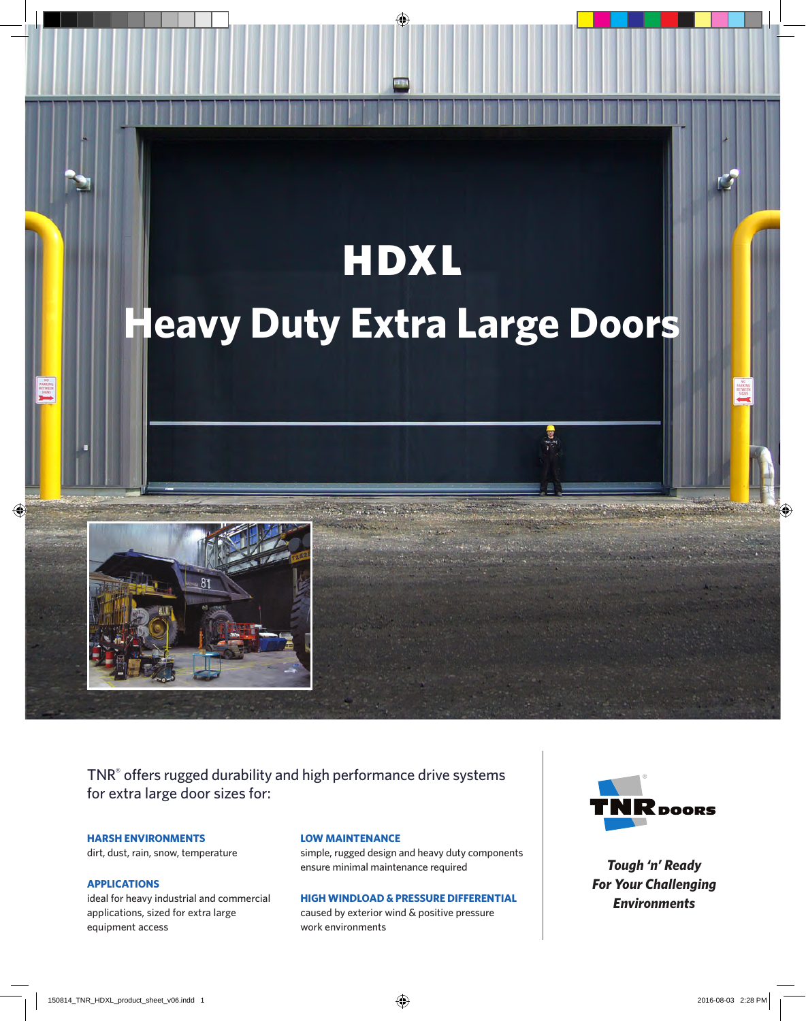# HDXL **Heavy Duty Extra Large Doors**



TNR® offers rugged durability and high performance drive systems for extra large door sizes for:

**HARSH ENVIRONMENTS**

dirt, dust, rain, snow, temperature

#### **APPLICATIONS**

ideal for heavy industrial and commercial applications, sized for extra large equipment access

#### **LOW MAINTENANCE**

simple, rugged design and heavy duty components ensure minimal maintenance required

#### **HIGH WINDLOAD & PRESSURE DIFFERENTIAL**

caused by exterior wind & positive pressure work environments



*Tough 'n' Ready For Your Challenging Environments*